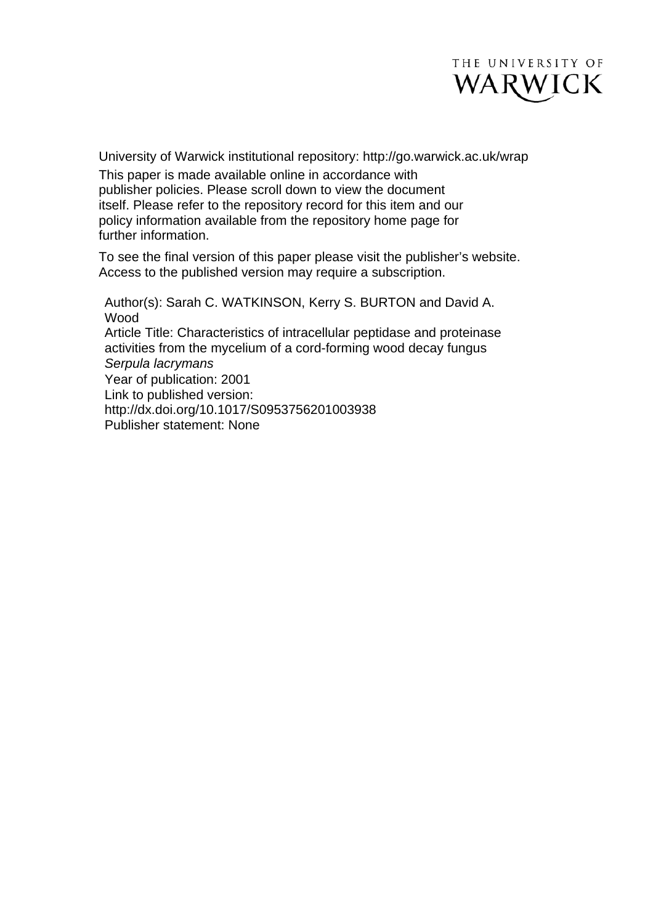

University of Warwick institutional repository: <http://go.warwick.ac.uk/wrap> This paper is made available online in accordance with publisher policies. Please scroll down to view the document itself. Please refer to the repository record for this item and our policy information available from the repository home page for further information.

To see the final version of this paper please visit the publisher's website. Access to the published version may require a subscription.

Author(s): Sarah C. WATKINSON, Kerry S. BURTON and David A. Wood Article Title: Characteristics of intracellular peptidase and proteinase activities from the mycelium of a cord-forming wood decay fungus *Serpula lacrymans* Year of publication: 2001 Link to published version: [http://dx.doi.org/](http://dx.doi.org/10.1112/S0024610700001320)10.1017/S0953756201003938 Publisher statement: None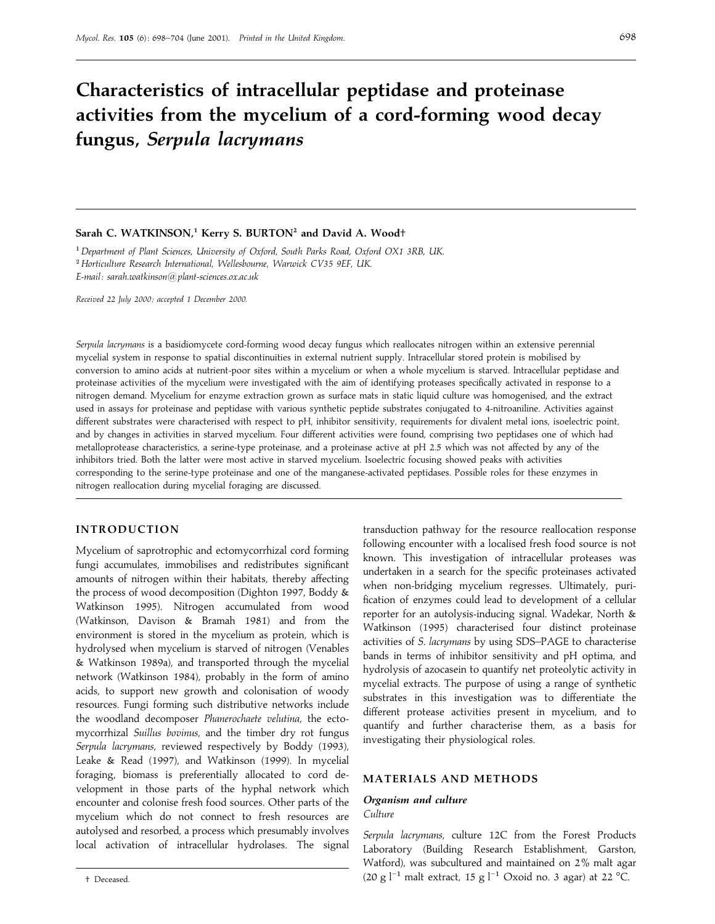# **Characteristics of intracellular peptidase and proteinase activities from the mycelium of a cord-forming wood decay fungus,** *Serpula lacrymans*

#### **Sarah C. WATKINSON,1 Kerry S. BURTON2 and David A. Wood**†

"*Department of Plant Sciences*, *University of Oxford*, *South Parks Road*, *Oxford OX1 3RB*, *UK*. #*Horticulture Research International*, *Wellesbourne*, *Warwick CV35 9EF*, *UK*. *E-mail: sarah.watkinson*!*plant*-*sciences*.*ox*.*ac*.*uk*

*Received 22 July 2000 ; accepted 1 December 2000.*

*Serpula lacrymans* is a basidiomycete cord-forming wood decay fungus which reallocates nitrogen within an extensive perennial mycelial system in response to spatial discontinuities in external nutrient supply. Intracellular stored protein is mobilised by conversion to amino acids at nutrient-poor sites within a mycelium or when a whole mycelium is starved. Intracellular peptidase and proteinase activities of the mycelium were investigated with the aim of identifying proteases specifically activated in response to a nitrogen demand. Mycelium for enzyme extraction grown as surface mats in static liquid culture was homogenised, and the extract used in assays for proteinase and peptidase with various synthetic peptide substrates conjugated to 4-nitroaniline. Activities against different substrates were characterised with respect to pH, inhibitor sensitivity, requirements for divalent metal ions, isoelectric point, and by changes in activities in starved mycelium. Four different activities were found, comprising two peptidases one of which had metalloprotease characteristics, a serine-type proteinase, and a proteinase active at pH 2.5 which was not affected by any of the inhibitors tried. Both the latter were most active in starved mycelium. Isoelectric focusing showed peaks with activities corresponding to the serine-type proteinase and one of the manganese-activated peptidases. Possible roles for these enzymes in nitrogen reallocation during mycelial foraging are discussed.

#### **INTRODUCTION**

Mycelium of saprotrophic and ectomycorrhizal cord forming fungi accumulates, immobilises and redistributes significant amounts of nitrogen within their habitats, thereby affecting the process of wood decomposition (Dighton 1997, Boddy & Watkinson 1995). Nitrogen accumulated from wood (Watkinson, Davison & Bramah 1981) and from the environment is stored in the mycelium as protein, which is hydrolysed when mycelium is starved of nitrogen (Venables & Watkinson 1989a), and transported through the mycelial network (Watkinson 1984), probably in the form of amino acids, to support new growth and colonisation of woody resources. Fungi forming such distributive networks include the woodland decomposer *Phanerochaete velutina*, the ectomycorrhizal *Suillus bovinus*, and the timber dry rot fungus *Serpula lacrymans*, reviewed respectively by Boddy (1993), Leake & Read (1997), and Watkinson (1999). In mycelial foraging, biomass is preferentially allocated to cord development in those parts of the hyphal network which encounter and colonise fresh food sources. Other parts of the mycelium which do not connect to fresh resources are autolysed and resorbed, a process which presumably involves local activation of intracellular hydrolases. The signal

† Deceased.

transduction pathway for the resource reallocation response following encounter with a localised fresh food source is not known. This investigation of intracellular proteases was undertaken in a search for the specific proteinases activated when non-bridging mycelium regresses. Ultimately, purification of enzymes could lead to development of a cellular reporter for an autolysis-inducing signal. Wadekar, North & Watkinson (1995) characterised four distinct proteinase activities of *S*. *lacrymans* by using SDS–PAGE to characterise bands in terms of inhibitor sensitivity and pH optima, and hydrolysis of azocasein to quantify net proteolytic activity in mycelial extracts. The purpose of using a range of synthetic substrates in this investigation was to differentiate the different protease activities present in mycelium, and to quantify and further characterise them, as a basis for investigating their physiological roles.

## **MATERIALS AND METHODS**

#### *Organism and culture Culture*

*Serpula lacrymans*, culture 12C from the Forest Products Laboratory (Building Research Establishment, Garston, Watford), was subcultured and maintained on 2% malt agar (20 g l<sup>-1</sup> malt extract, 15 g l<sup>-1</sup> Oxoid no. 3 agar) at 22 °C.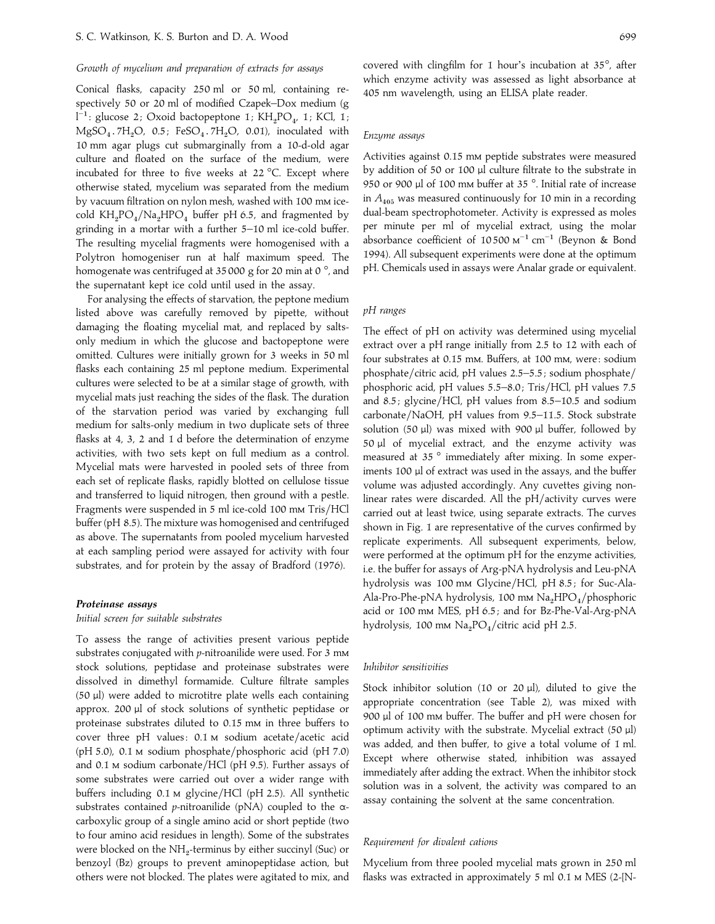# *Growth of mycelium and preparation of extracts for assays*

Conical flasks, capacity 250 ml or 50 ml, containing respectively 50 or 20 ml of modified Czapek–Dox medium (g spectively 50 or 20 mi or moainea Czapek–Dox meaium (g<br>l<sup>−1</sup>: glucose 2; Oxoid bactopeptone 1; KH<sub>2</sub>PO<sub>4</sub>, 1; KCl, 1;  $MgSO<sub>4</sub>$ . 7H<sub>2</sub>O, 0.5; FeSO<sub>4</sub>. 7H<sub>2</sub>O, 0.01), inoculated with 10 mm agar plugs cut submarginally from a 10-d-old agar culture and floated on the surface of the medium, were incubated for three to five weeks at 22 °C. Except where otherwise stated, mycelium was separated from the medium by vacuum filtration on nylon mesh, washed with 100 mm icecold  $KH_2PO_4/Na_2HPO_4$  buffer pH 6.5, and fragmented by grinding in a mortar with a further 5–10 ml ice-cold buffer. The resulting mycelial fragments were homogenised with a Polytron homogeniser run at half maximum speed. The homogenate was centrifuged at 35 000 g for 20 min at 0<sup>°</sup>, and the supernatant kept ice cold until used in the assay.

For analysing the effects of starvation, the peptone medium listed above was carefully removed by pipette, without damaging the floating mycelial mat, and replaced by saltsonly medium in which the glucose and bactopeptone were omitted. Cultures were initially grown for 3 weeks in 50 ml flasks each containing 25 ml peptone medium. Experimental cultures were selected to be at a similar stage of growth, with mycelial mats just reaching the sides of the flask. The duration of the starvation period was varied by exchanging full medium for salts-only medium in two duplicate sets of three flasks at 4, 3, 2 and 1 d before the determination of enzyme activities, with two sets kept on full medium as a control. Mycelial mats were harvested in pooled sets of three from each set of replicate flasks, rapidly blotted on cellulose tissue and transferred to liquid nitrogen, then ground with a pestle. Fragments were suspended in 5 ml ice-cold 100 mm Tris/HCl buffer (pH 8.5). The mixture was homogenised and centrifuged as above. The supernatants from pooled mycelium harvested at each sampling period were assayed for activity with four substrates, and for protein by the assay of Bradford (1976).

#### *Proteinase assays*

*Initial screen for suitable substrates*

To assess the range of activities present various peptide substrates conjugated with *p*-nitroanilide were used. For 3 m stock solutions, peptidase and proteinase substrates were dissolved in dimethyl formamide. Culture filtrate samples (50 µl) were added to microtitre plate wells each containing approx. 200 µl of stock solutions of synthetic peptidase or proteinase substrates diluted to 0.15 mm in three buffers to cover three pH values:  $0.1$  M sodium acetate/acetic acid (pH 5.0),  $0.1 \text{ M}$  sodium phosphate/phosphoric acid (pH 7.0) and 0.1  $\mu$  sodium carbonate/HCl (pH 9.5). Further assays of some substrates were carried out over a wider range with buffers including 0.1 M glycine/HCl (pH 2.5). All synthetic substrates contained *p*-nitroanilide (pNA) coupled to the αcarboxylic group of a single amino acid or short peptide (two to four amino acid residues in length). Some of the substrates were blocked on the NH<sub>2</sub>-terminus by either succinyl (Suc) or benzoyl (Bz) groups to prevent aminopeptidase action, but others were not blocked. The plates were agitated to mix, and

covered with clingfilm for 1 hour's incubation at 35°, after which enzyme activity was assessed as light absorbance at 405 nm wavelength, using an ELISA plate reader.

#### *Enzyme assays*

Activities against 0.15 mm peptide substrates were measured by addition of 50 or 100 µl culture filtrate to the substrate in 950 or 900 µl of 100 mm buffer at 35°. Initial rate of increase in  $A_{405}$  was measured continuously for 10 min in a recording dual-beam spectrophotometer. Activity is expressed as moles per minute per ml of mycelial extract, using the molar absorbance coefficient of 10500  $M^{-1}$  cm<sup>-1</sup> (Beynon & Bond 1994). All subsequent experiments were done at the optimum pH. Chemicals used in assays were Analar grade or equivalent.

# *pH ranges*

The effect of pH on activity was determined using mycelial extract over a pH range initially from 2.5 to 12 with each of four substrates at 0.15 mm. Buffers, at 100 mm, were: sodium phosphate/citric acid, pH values 2.5-5.5; sodium phosphate/ phosphoric acid, pH values 5.5–8.0; Tris/HCl, pH values 7.5 and 8.5; glycine/HCl, pH values from 8.5-10.5 and sodium carbonate}NaOH, pH values from 9.5–11.5. Stock substrate solution (50  $\mu$ l) was mixed with 900  $\mu$ l buffer, followed by 50  $\mu$ l of mycelial extract, and the enzyme activity was measured at 35 ° immediately after mixing. In some experiments 100 µl of extract was used in the assays, and the buffer volume was adjusted accordingly. Any cuvettes giving nonlinear rates were discarded. All the pH/activity curves were carried out at least twice, using separate extracts. The curves shown in Fig. 1 are representative of the curves confirmed by replicate experiments. All subsequent experiments, below, were performed at the optimum pH for the enzyme activities, i.e. the buffer for assays of Arg-pNA hydrolysis and Leu-pNA hydrolysis was 100 mm Glycine/HCl, pH 8.5; for Suc-Ala-Ala-Pro-Phe-pNA hydrolysis, 100 mm  $\rm Na_2HPO_4/phosphoric$ acid or 100 mm MES, pH 6.5; and for Bz-Phe-Val-Arg-pNA hydrolysis, 100 mm  $\rm Na_2PO_4/c$ itric acid pH 2.5.

## *Inhibitor sensitivities*

Stock inhibitor solution (10 or 20 µl), diluted to give the appropriate concentration (see Table 2), was mixed with 900 µl of 100 mm buffer. The buffer and pH were chosen for optimum activity with the substrate. Mycelial extract (50 µl) was added, and then buffer, to give a total volume of 1 ml. Except where otherwise stated, inhibition was assayed immediately after adding the extract. When the inhibitor stock solution was in a solvent, the activity was compared to an assay containing the solvent at the same concentration.

## *Requirement for divalent cations*

Mycelium from three pooled mycelial mats grown in 250 ml flasks was extracted in approximately 5 ml 0.1 M MES (2-[N-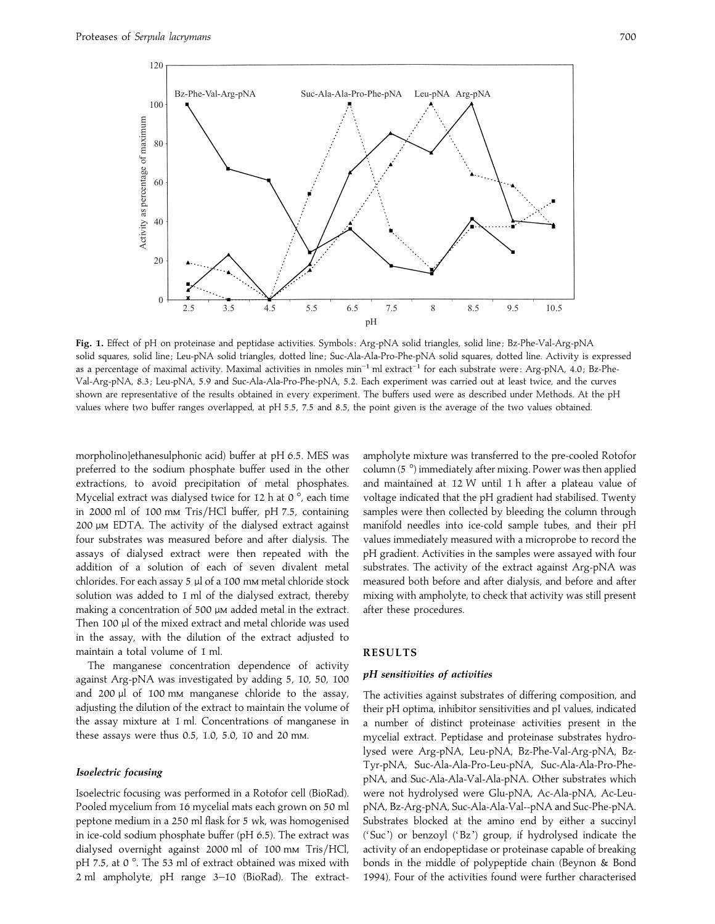

Fig. 1. Effect of pH on proteinase and peptidase activities. Symbols: Arg-pNA solid triangles, solid line; Bz-Phe-Val-Arg-pNA solid squares, solid line; Leu-pNA solid triangles, dotted line; Suc-Ala-Ala-Pro-Phe-pNA solid squares, dotted line. Activity is expressed as a percentage of maximal activity. Maximal activities in nmoles min<sup>−1</sup> ml extract<sup>-1</sup> for each substrate were: Arg-pNA, 4.0; Bz-Phe-Val-Arg-pNA, 8.3 ; Leu-pNA, 5.9 and Suc-Ala-Ala-Pro-Phe-pNA, 5.2. Each experiment was carried out at least twice, and the curves shown are representative of the results obtained in every experiment. The buffers used were as described under Methods. At the pH values where two buffer ranges overlapped, at pH 5.5, 7.5 and 8.5, the point given is the average of the two values obtained.

morpholino]ethanesulphonic acid) buffer at pH 6.5. MES was preferred to the sodium phosphate buffer used in the other extractions, to avoid precipitation of metal phosphates. Mycelial extract was dialysed twice for 12 h at 0 $^{\circ}$ , each time in 2000 ml of 100 mm Tris/HCl buffer, pH 7.5, containing 200 µM EDTA. The activity of the dialysed extract against four substrates was measured before and after dialysis. The assays of dialysed extract were then repeated with the addition of a solution of each of seven divalent metal chlorides. For each assay  $5 \mu$ l of a 100 mm metal chloride stock solution was added to 1 ml of the dialysed extract, thereby making a concentration of 500  $\mu$ M added metal in the extract. Then 100 µl of the mixed extract and metal chloride was used in the assay, with the dilution of the extract adjusted to maintain a total volume of 1 ml.

The manganese concentration dependence of activity against Arg-pNA was investigated by adding 5, 10, 50, 100 and 200 µl of 100 mm manganese chloride to the assay, adjusting the dilution of the extract to maintain the volume of the assay mixture at 1 ml. Concentrations of manganese in these assays were thus 0.5, 1.0, 5.0, 10 and 20 mm.

#### *Isoelectric focusing*

Isoelectric focusing was performed in a Rotofor cell (BioRad). Pooled mycelium from 16 mycelial mats each grown on 50 ml peptone medium in a 250 ml flask for 5 wk, was homogenised in ice-cold sodium phosphate buffer (pH 6.5). The extract was dialysed overnight against 2000 ml of 100 mm Tris/HCl, pH 7.5, at 0°. The 53 ml of extract obtained was mixed with 2 ml ampholyte, pH range 3–10 (BioRad). The extractampholyte mixture was transferred to the pre-cooled Rotofor column (5 °) immediately after mixing. Power was then applied and maintained at 12 W until 1 h after a plateau value of voltage indicated that the pH gradient had stabilised. Twenty samples were then collected by bleeding the column through manifold needles into ice-cold sample tubes, and their pH values immediately measured with a microprobe to record the pH gradient. Activities in the samples were assayed with four substrates. The activity of the extract against Arg-pNA was measured both before and after dialysis, and before and after mixing with ampholyte, to check that activity was still present after these procedures.

# **RESULTS**

# *pH sensitivities of activities*

The activities against substrates of differing composition, and their pH optima, inhibitor sensitivities and pI values, indicated a number of distinct proteinase activities present in the mycelial extract. Peptidase and proteinase substrates hydrolysed were Arg-pNA, Leu-pNA, Bz-Phe-Val-Arg-pNA, Bz-Tyr-pNA, Suc-Ala-Ala-Pro-Leu-pNA, Suc-Ala-Ala-Pro-PhepNA, and Suc-Ala-Ala-Val-Ala-pNA. Other substrates which were not hydrolysed were Glu-pNA, Ac-Ala-pNA, Ac-LeupNA, Bz-Arg-pNA, Suc-Ala-Ala-Val--pNA and Suc-Phe-pNA. Substrates blocked at the amino end by either a succinyl ('Suc') or benzoyl ('Bz ') group, if hydrolysed indicate the activity of an endopeptidase or proteinase capable of breaking bonds in the middle of polypeptide chain (Beynon & Bond 1994). Four of the activities found were further characterised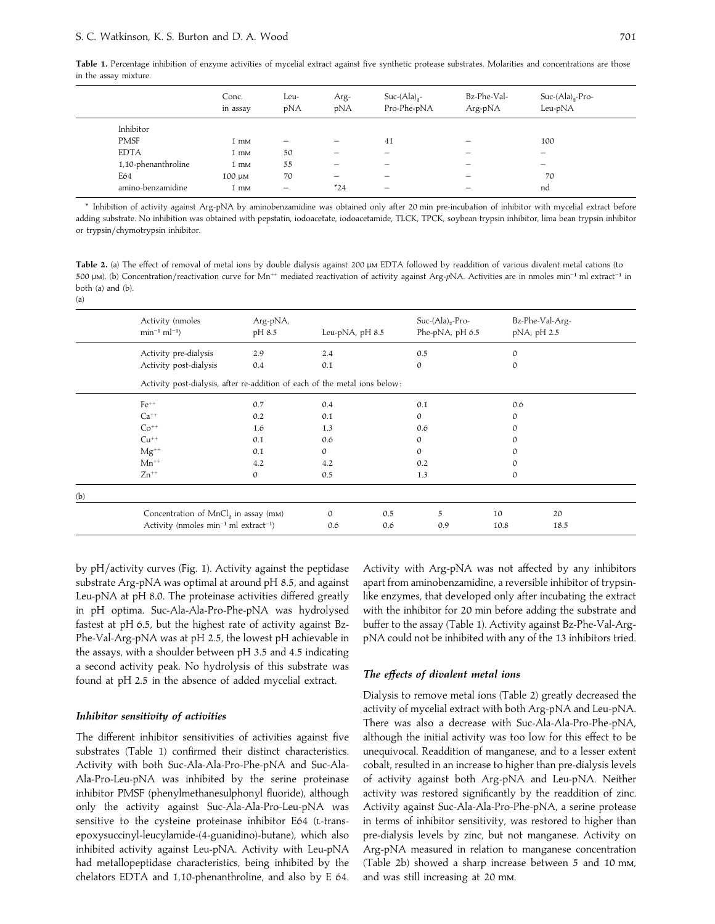|             |                     | Conc.<br>in assay | Leu-<br>pNA | Arg-<br>pNA              | $Suc-(Ala)_{2}$ -<br>Pro-Phe-pNA | Bz-Phe-Val-<br>Arg-pNA   | $Suc-(Ala)_{2}$ -Pro-<br>Leu-pNA |  |
|-------------|---------------------|-------------------|-------------|--------------------------|----------------------------------|--------------------------|----------------------------------|--|
| Inhibitor   |                     |                   |             |                          |                                  |                          |                                  |  |
| <b>PMSF</b> |                     | 1 mm              |             |                          | 41                               |                          | 100                              |  |
| <b>EDTA</b> |                     | 1 mm              | 50          |                          | —                                |                          | $\overline{\phantom{0}}$         |  |
|             | 1,10-phenanthroline | 1 mm              | 55          | $\overline{\phantom{m}}$ | —                                |                          | $\overline{\phantom{0}}$         |  |
| E64         |                     | 100 µm            | 70          | $\qquad \qquad -$        | $\overline{\phantom{0}}$         | $\overline{\phantom{0}}$ | 70                               |  |
|             | amino-benzamidine   | 1 mm              | -           | $*24$                    | $\overline{\phantom{0}}$         | -                        | nd                               |  |

\* Inhibition of activity against Arg-pNA by aminobenzamidine was obtained only after 20 min pre-incubation of inhibitor with mycelial extract before adding substrate. No inhibition was obtained with pepstatin, iodoacetate, iodoacetamide, TLCK, TPCK, soybean trypsin inhibitor, lima bean trypsin inhibitor or trypsin/chymotrypsin inhibitor.

Table 2. (a) The effect of removal of metal ions by double dialysis against 200  $\mu$ M EDTA followed by readdition of various divalent metal cations (to <sup>500</sup> <sup>µ</sup>). (b) Concentration}reactivation curve for Mn++ mediated reactivation of activity against Arg-*p*NA. Activities are in nmoles min−" ml extract−" in both (a) and (b). (a)

|     | Activity (nmoles<br>$min^{-1} ml^{-1}$                                                                     | Arg-pNA,<br>pH 8.5 | Leu-pNA, pH 8.5      | $Suc-(Ala)_{2}$ -Pro-<br>Phe-pNA, pH 6.5 | pNA, pH 2.5  | Bz-Phe-Val-Arg- |  |  |  |  |
|-----|------------------------------------------------------------------------------------------------------------|--------------------|----------------------|------------------------------------------|--------------|-----------------|--|--|--|--|
|     | Activity pre-dialysis                                                                                      | 2.9                | 2.4                  | 0.5                                      | $\mathbf{0}$ |                 |  |  |  |  |
|     | Activity post-dialysis                                                                                     | 0.4                | 0.1                  | $\mathbf{0}$                             | $\mathbf{0}$ |                 |  |  |  |  |
|     | Activity post-dialysis, after re-addition of each of the metal ions below:                                 |                    |                      |                                          |              |                 |  |  |  |  |
|     | $Fe^{++}$                                                                                                  | 0.7                | 0.4                  | 0.1                                      | 0.6          |                 |  |  |  |  |
|     | $Ca^{++}$                                                                                                  | 0.2                | 0.1                  | $\mathcal{O}$                            | $\mathbf{0}$ |                 |  |  |  |  |
|     | $Co^{++}$                                                                                                  | 1.6                | 1.3                  | 0.6                                      | $\mathbf{0}$ |                 |  |  |  |  |
|     | $Cu^{++}$                                                                                                  | 0.1                | 0.6                  | $\Omega$                                 | $\mathbf{0}$ |                 |  |  |  |  |
|     | $Mg^{++}$                                                                                                  | 0.1                | $\Omega$             | $\Omega$                                 | $\Omega$     |                 |  |  |  |  |
|     | $Mn^{++}$                                                                                                  | 4.2                | 4.2                  | 0.2                                      | $\mathbf{0}$ |                 |  |  |  |  |
|     | $Zn^{++}$                                                                                                  | $\Omega$           | 0.5                  | 1.3                                      | $\mathbf{0}$ |                 |  |  |  |  |
| (b) |                                                                                                            |                    |                      |                                          |              |                 |  |  |  |  |
|     | Concentration of MnCl <sub>2</sub> in assay (mm)<br>Activity (nmoles $min^{-1}$ ml extract <sup>-1</sup> ) |                    | 0.5<br>$\mathcal{O}$ | 5                                        | 10           | 20              |  |  |  |  |
|     |                                                                                                            |                    | 0.6<br>0.6           | 0.9                                      | 10.8         | 18.5            |  |  |  |  |

by  $pH/a$ ctivity curves (Fig. 1). Activity against the peptidase substrate Arg-pNA was optimal at around pH 8.5, and against Leu-pNA at pH 8.0. The proteinase activities differed greatly in pH optima. Suc-Ala-Ala-Pro-Phe-pNA was hydrolysed fastest at pH 6.5, but the highest rate of activity against Bz-Phe-Val-Arg-pNA was at pH 2.5, the lowest pH achievable in the assays, with a shoulder between pH 3.5 and 4.5 indicating a second activity peak. No hydrolysis of this substrate was found at pH 2.5 in the absence of added mycelial extract.

## *Inhibitor sensitivity of activities*

The different inhibitor sensitivities of activities against five substrates (Table 1) confirmed their distinct characteristics. Activity with both Suc-Ala-Ala-Pro-Phe-pNA and Suc-Ala-Ala-Pro-Leu-pNA was inhibited by the serine proteinase inhibitor PMSF (phenylmethanesulphonyl fluoride), although only the activity against Suc-Ala-Ala-Pro-Leu-pNA was sensitive to the cysteine proteinase inhibitor E64 (L-transepoxysuccinyl-leucylamide-(4-guanidino)-butane), which also inhibited activity against Leu-pNA. Activity with Leu-pNA had metallopeptidase characteristics, being inhibited by the chelators EDTA and 1,10-phenanthroline, and also by E 64.

Activity with Arg-pNA was not affected by any inhibitors apart from aminobenzamidine, a reversible inhibitor of trypsinlike enzymes, that developed only after incubating the extract with the inhibitor for 20 min before adding the substrate and buffer to the assay (Table 1). Activity against Bz-Phe-Val-ArgpNA could not be inhibited with any of the 13 inhibitors tried.

## *The effects of divalent metal ions*

Dialysis to remove metal ions (Table 2) greatly decreased the activity of mycelial extract with both Arg-pNA and Leu-pNA. There was also a decrease with Suc-Ala-Ala-Pro-Phe-pNA, although the initial activity was too low for this effect to be unequivocal. Readdition of manganese, and to a lesser extent cobalt, resulted in an increase to higher than pre-dialysis levels of activity against both Arg-pNA and Leu-pNA. Neither activity was restored significantly by the readdition of zinc. Activity against Suc-Ala-Ala-Pro-Phe-pNA, a serine protease in terms of inhibitor sensitivity, was restored to higher than pre-dialysis levels by zinc, but not manganese. Activity on Arg-pNA measured in relation to manganese concentration (Table 2b) showed a sharp increase between 5 and 10 mm, and was still increasing at 20 mm.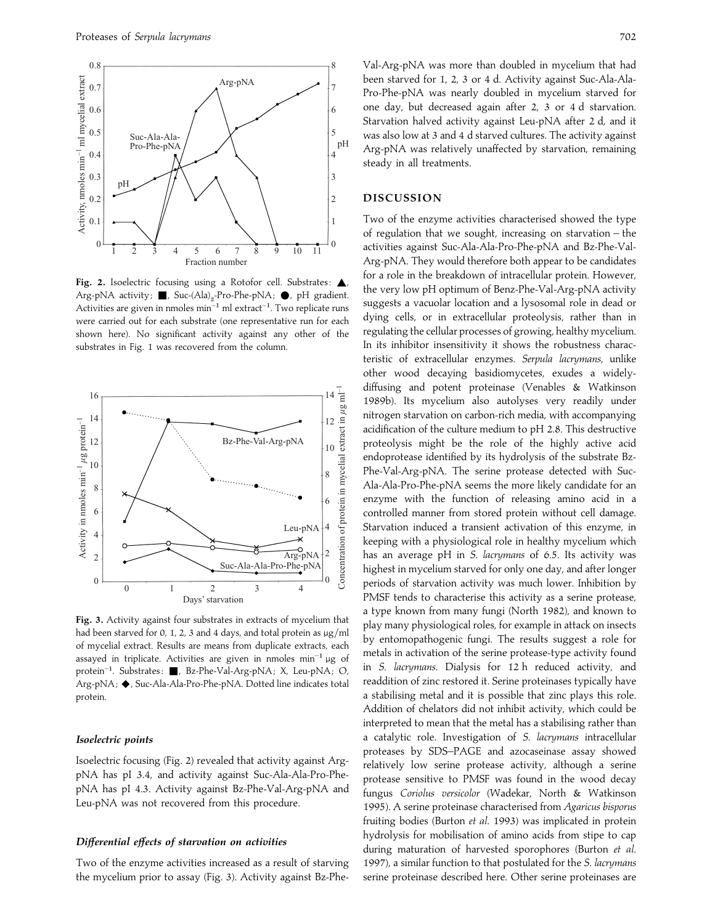

Fig. 2. Isoelectric focusing using a Rotofor cell. Substrates:  $\triangle$ Arg-pNA activity;  $\blacksquare$ , Suc-(Ala)<sub>2</sub>-Pro-Phe-pNA;  $\spadesuit$ , pH gradient. Arg-pivA activity; ■, 5uc-(Aia)<sub>2</sub>-Pro-Pne-pivA; ●, pri gradient.<br>Activities are given in nmoles min<sup>-1</sup> ml extract<sup>-1</sup>. Two replicate runs were carried out for each substrate (one representative run for each shown here). No significant activity against any other of the substrates in Fig. 1 was recovered from the column.



**Fig. 3.** Activity against four substrates in extracts of mycelium that had been starved for 0, 1, 2, 3 and 4 days, and total protein as  $\mu$ g/ml of mycelial extract. Results are means from duplicate extracts, each assayed in triplicate. Activities are given in nmoles min−" <sup>µ</sup>g of protein<sup>-1</sup>. Substrates: ■, Bz-Phe-Val-Arg-pNA; X, Leu-pNA; O, Arg-pNA; ◆, Suc-Ala-Ala-Pro-Phe-pNA. Dotted line indicates total protein.

#### *Isoelectric points*

Isoelectric focusing (Fig. 2) revealed that activity against ArgpNA has pI 3.4, and activity against Suc-Ala-Ala-Pro-PhepNA has pI 4.3. Activity against Bz-Phe-Val-Arg-pNA and Leu-pNA was not recovered from this procedure.

## *Differential effects of starvation on activities*

Two of the enzyme activities increased as a result of starving the mycelium prior to assay (Fig. 3). Activity against Bz-Phe-

Val-Arg-pNA was more than doubled in mycelium that had been starved for 1, 2, 3 or 4 d. Activity against Suc-Ala-Ala-Pro-Phe-pNA was nearly doubled in mycelium starved for one day, but decreased again after 2, 3 or 4 d starvation. Starvation halved activity against Leu-pNA after 2 d, and it was also low at 3 and 4 d starved cultures. The activity against Arg-pNA was relatively unaffected by starvation, remaining steady in all treatments.

## **DISCUSSION**

Two of the enzyme activities characterised showed the type of regulation that we sought, increasing on starvation – the activities against Suc-Ala-Ala-Pro-Phe-pNA and Bz-Phe-Val-Arg-pNA. They would therefore both appear to be candidates for a role in the breakdown of intracellular protein. However, the very low pH optimum of Benz-Phe-Val-Arg-pNA activity suggests a vacuolar location and a lysosomal role in dead or dying cells, or in extracellular proteolysis, rather than in regulating the cellular processes of growing, healthy mycelium. In its inhibitor insensitivity it shows the robustness characteristic of extracellular enzymes. *Serpula lacrymans*, unlike other wood decaying basidiomycetes, exudes a widelydiffusing and potent proteinase (Venables & Watkinson 1989b). Its mycelium also autolyses very readily under nitrogen starvation on carbon-rich media, with accompanying acidification of the culture medium to pH 2.8. This destructive proteolysis might be the role of the highly active acid endoprotease identified by its hydrolysis of the substrate Bz-Phe-Val-Arg-pNA. The serine protease detected with Suc-Ala-Ala-Pro-Phe-pNA seems the more likely candidate for an enzyme with the function of releasing amino acid in a controlled manner from stored protein without cell damage. Starvation induced a transient activation of this enzyme, in keeping with a physiological role in healthy mycelium which has an average pH in *S*. *lacrymans* of 6.5. Its activity was highest in mycelium starved for only one day, and after longer periods of starvation activity was much lower. Inhibition by PMSF tends to characterise this activity as a serine protease, a type known from many fungi (North 1982), and known to play many physiological roles, for example in attack on insects by entomopathogenic fungi. The results suggest a role for metals in activation of the serine protease-type activity found in *S*. *lacrymans*. Dialysis for 12 h reduced activity, and readdition of zinc restored it. Serine proteinases typically have a stabilising metal and it is possible that zinc plays this role. Addition of chelators did not inhibit activity, which could be interpreted to mean that the metal has a stabilising rather than a catalytic role. Investigation of *S*. *lacrymans* intracellular proteases by SDS–PAGE and azocaseinase assay showed relatively low serine protease activity, although a serine protease sensitive to PMSF was found in the wood decay fungus *Coriolus versicolor* (Wadekar, North & Watkinson 1995). A serine proteinase characterised from *Agaricus bisporus* fruiting bodies (Burton *et al*. 1993) was implicated in protein hydrolysis for mobilisation of amino acids from stipe to cap during maturation of harvested sporophores (Burton *et al*. 1997), a similar function to that postulated for the *S*. *lacrymans* serine proteinase described here. Other serine proteinases are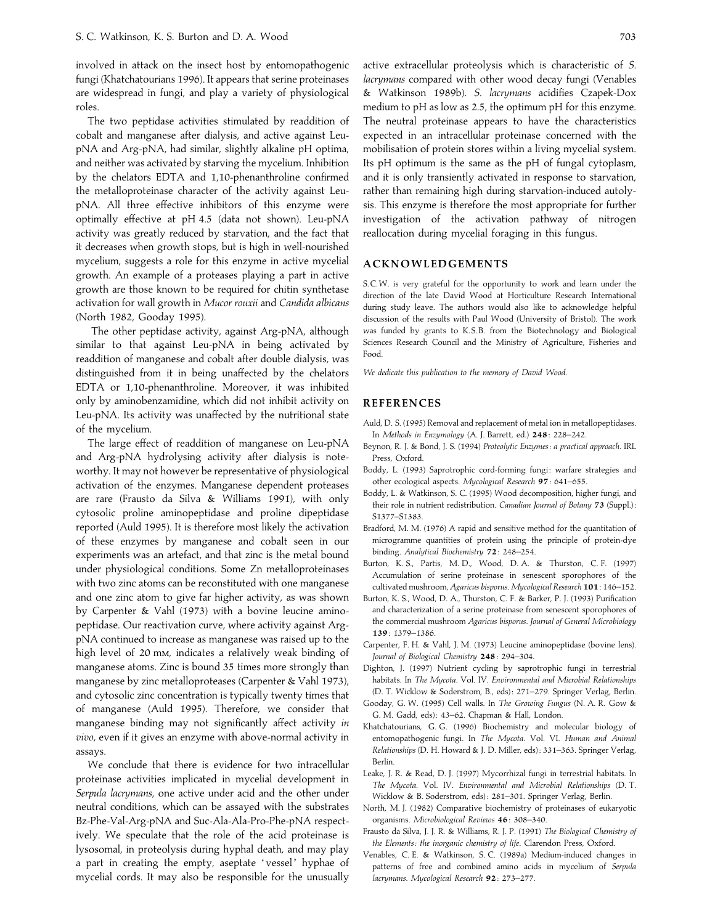involved in attack on the insect host by entomopathogenic fungi (Khatchatourians 1996). It appears that serine proteinases are widespread in fungi, and play a variety of physiological roles.

The two peptidase activities stimulated by readdition of cobalt and manganese after dialysis, and active against LeupNA and Arg-pNA, had similar, slightly alkaline pH optima, and neither was activated by starving the mycelium. Inhibition by the chelators EDTA and 1,10-phenanthroline confirmed the metalloproteinase character of the activity against LeupNA. All three effective inhibitors of this enzyme were optimally effective at pH 4.5 (data not shown). Leu-pNA activity was greatly reduced by starvation, and the fact that it decreases when growth stops, but is high in well-nourished mycelium, suggests a role for this enzyme in active mycelial growth. An example of a proteases playing a part in active growth are those known to be required for chitin synthetase activation for wall growth in *Mucor rouxii* and *Candida albicans* (North 1982, Gooday 1995).

The other peptidase activity, against Arg-pNA, although similar to that against Leu-pNA in being activated by readdition of manganese and cobalt after double dialysis, was distinguished from it in being unaffected by the chelators EDTA or 1,10-phenanthroline. Moreover, it was inhibited only by aminobenzamidine, which did not inhibit activity on Leu-pNA. Its activity was unaffected by the nutritional state of the mycelium.

The large effect of readdition of manganese on Leu-pNA and Arg-pNA hydrolysing activity after dialysis is noteworthy. It may not however be representative of physiological activation of the enzymes. Manganese dependent proteases are rare (Frausto da Silva & Williams 1991), with only cytosolic proline aminopeptidase and proline dipeptidase reported (Auld 1995). It is therefore most likely the activation of these enzymes by manganese and cobalt seen in our experiments was an artefact, and that zinc is the metal bound under physiological conditions. Some Zn metalloproteinases with two zinc atoms can be reconstituted with one manganese and one zinc atom to give far higher activity, as was shown by Carpenter & Vahl (1973) with a bovine leucine aminopeptidase. Our reactivation curve, where activity against ArgpNA continued to increase as manganese was raised up to the high level of 20 mm, indicates a relatively weak binding of manganese atoms. Zinc is bound 35 times more strongly than manganese by zinc metalloproteases (Carpenter & Vahl 1973), and cytosolic zinc concentration is typically twenty times that of manganese (Auld 1995). Therefore, we consider that manganese binding may not significantly affect activity *in vivo*, even if it gives an enzyme with above-normal activity in assays.

We conclude that there is evidence for two intracellular proteinase activities implicated in mycelial development in *Serpula lacrymans*, one active under acid and the other under neutral conditions, which can be assayed with the substrates Bz-Phe-Val-Arg-pNA and Suc-Ala-Ala-Pro-Phe-pNA respectively. We speculate that the role of the acid proteinase is lysosomal, in proteolysis during hyphal death, and may play a part in creating the empty, aseptate 'vessel' hyphae of mycelial cords. It may also be responsible for the unusually active extracellular proteolysis which is characteristic of *S*. *lacrymans* compared with other wood decay fungi (Venables & Watkinson 1989b). *S*. *lacrymans* acidifies Czapek-Dox medium to pH as low as 2.5, the optimum pH for this enzyme. The neutral proteinase appears to have the characteristics expected in an intracellular proteinase concerned with the mobilisation of protein stores within a living mycelial system. Its pH optimum is the same as the pH of fungal cytoplasm, and it is only transiently activated in response to starvation, rather than remaining high during starvation-induced autolysis. This enzyme is therefore the most appropriate for further investigation of the activation pathway of nitrogen reallocation during mycelial foraging in this fungus.

# **ACKNOWLEDGEMENTS**

S.C.W. is very grateful for the opportunity to work and learn under the direction of the late David Wood at Horticulture Research International during study leave. The authors would also like to acknowledge helpful discussion of the results with Paul Wood (University of Bristol). The work was funded by grants to K.S.B. from the Biotechnology and Biological Sciences Research Council and the Ministry of Agriculture, Fisheries and Food.

*We dedicate this publication to the memory of David Wood*.

# **REFERENCES**

- Auld, D. S. (1995) Removal and replacement of metal ion in metallopeptidases. In *Methods in Enzymology* (A. J. Barrett, ed.) **248**: 228–242.
- Beynon, R. J. & Bond, J. S. (1994) *Proteolytic Enzymes : a practical approach*. IRL Press, Oxford.
- Boddy, L. (1993) Saprotrophic cord-forming fungi: warfare strategies and other ecological aspects. *Mycological Research* **97**: 641–655.
- Boddy, L. & Watkinson, S. C. (1995) Wood decomposition, higher fungi, and their role in nutrient redistribution. *Canadian Journal of Botany* **73** (Suppl.) : S1377–S1383.
- Bradford, M. M. (1976) A rapid and sensitive method for the quantitation of microgramme quantities of protein using the principle of protein-dye binding. *Analytical Biochemistry* **72**: 248–254.
- Burton, K. S., Partis, M. D., Wood, D. A. & Thurston, C. F. (1997) Accumulation of serine proteinase in senescent sporophores of the cultivated mushroom, *Agaricus bisporus*. *Mycological Research* **101**: 146–152.
- Burton, K. S., Wood, D. A., Thurston, C. F. & Barker, P. J. (1993) Purification and characterization of a serine proteinase from senescent sporophores of the commercial mushroom *Agaricus bisporus*. *Journal of General Microbiology* **139**: 1379–1386.
- Carpenter, F. H. & Vahl, J. M. (1973) Leucine aminopeptidase (bovine lens). *Journal of Biological Chemistry* **248**: 294–304.
- Dighton, J. (1997) Nutrient cycling by saprotrophic fungi in terrestrial habitats. In *The Mycota*. Vol. IV. *Environmental and Microbial Relationships* (D. T. Wicklow & Soderstrom, B., eds) : 271–279. Springer Verlag, Berlin.
- Gooday, G. W. (1995) Cell walls. In *The Growing Fungus* (N. A. R. Gow & G. M. Gadd, eds) : 43–62. Chapman & Hall, London.
- Khatchatourians, G. G. (1996) Biochemistry and molecular biology of entomopathogenic fungi. In *The Mycota*. Vol. VI. *Human and Animal Relationships* (D. H. Howard & J. D. Miller, eds) : 331–363. Springer Verlag, Berlin.
- Leake, J. R. & Read, D. J. (1997) Mycorrhizal fungi in terrestrial habitats. In *The Mycota*. Vol. IV. *Environmental and Microbial Relationships* (D. T. Wicklow & B. Soderstrom, eds) : 281–301. Springer Verlag, Berlin.
- North, M. J. (1982) Comparative biochemistry of proteinases of eukaryotic organisms. *Microbiological Reviews* **46**: 308–340.
- Frausto da Silva, J. J. R. & Williams, R. J. P. (1991) *The Biological Chemistry of the Elements : the inorganic chemistry of life*. Clarendon Press, Oxford.
- Venables, C. E. & Watkinson, S. C. (1989a) Medium-induced changes in patterns of free and combined amino acids in mycelium of *Serpula lacrymans*. *Mycological Research* **92**: 273–277.